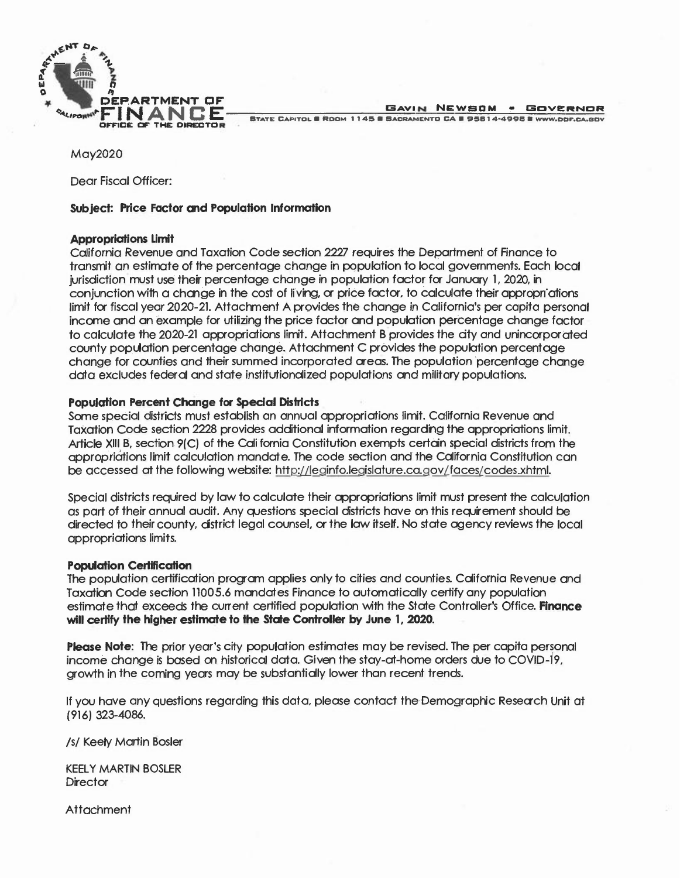

May2020

Dear Fiscal Officer:

## **Subject: Price Factor and Population Information**

#### **Appropriations Umlt**

California Revenue and Taxation Code section 2227 requires the Department of Finance to transmit an estimate of the percentage change in population to local governments. Each local jurisdiction must use their percentage change in population factor for January 1, 2020, in conjunction with a change in the cost of living, or price factor, to calculate their appropriations limit for fiscal year 2020-21. Attachment A provides the change in California's per capita personal income and an example for utilizing the price factor and population percentage change factor to calculate the 2020-21 appropriations limit. Attachment B provides the city and unincorporated county population percentage change. Attachment C provides the population percentage change for counties and their summed incorporated areas. The population 'percentage change data excludes federal and state institutionalized populations and military populations.

## **Population Percent Change for Special Districts**

Some special districts must establish an annual appropriations limit. California Revenue and Taxation Code section 2228 provides additional information regarding the appropriations limit. Article XIII B, section *9*(C) of the California Constitution exempts certain special districts from the appropriations limit calculation mandate. The code section and the California Constitution can be accessed at the following website: http://leginfo.legislature.ca.gov/faces/codes.xhtml.

Special districts required by law to calculate their appropriations limit must present the calculation as part of their annual audit. Any questions special districts have on this requirement should be directed to their county, district legal counsel, or the law itself. No state agency reviews the local appropriations limits.

### **Population Certification**

The population certification program applies only to cities and counties. California Revenue and Taxation Code section 11005.6 mandates Finance to automatically certify any population estimate that exceeds the current certified population with the State Controller's Office. **Finance will certify the higher estimate to the State Controller by June 1, 2020.** 

**Please Note:** The prior year's city population estimates may be revised. The per capita personal income change is based on historical data. Given the stay-at-home orders due to COVID-19, growth in the coming years may be substantially lower than recent trends.

If you have any questions regarding this data, please contact the-Demographic Research Unit at **(916) 323-4086.** 

/s/ Keely Martin Bosler

KEELY MARTIN BOSLER **Director** 

**Attachment**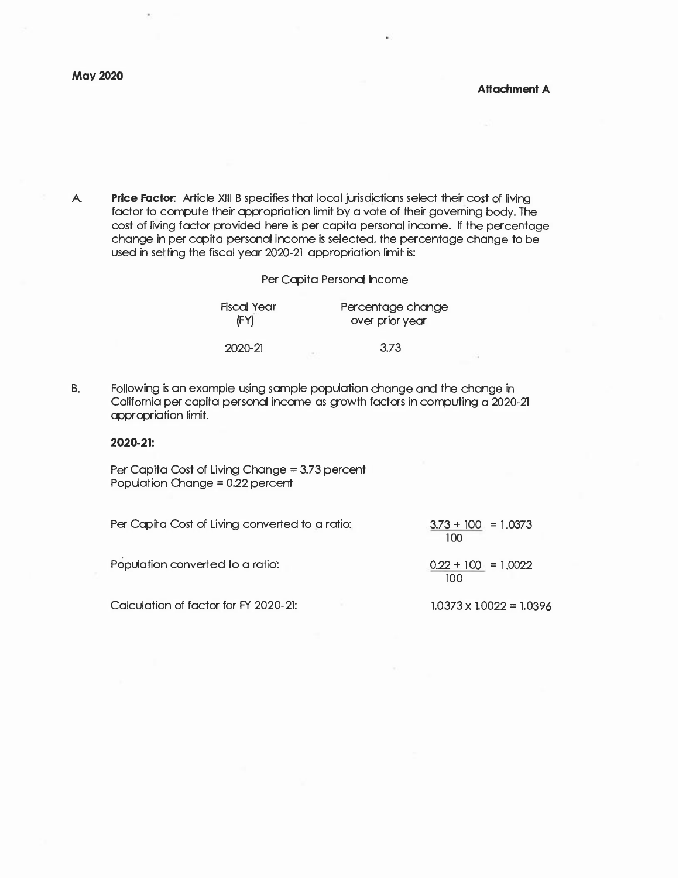A. **Price Factor:** Article XIII B specifies that local jurisdictions select their cost of living factor to compute their appropriation limit by a vote of their governing body. The cost of living factor provided here is per capita personal income. If the percentage change in per capita personal income is selected, the percentage change to be used in setting the fiscal year 2020-21 appropriation limit· is:

### Per Capita Personal Income

| Fiscal Year<br>(FY) | Percentage change<br>over prior year |  |
|---------------------|--------------------------------------|--|
| 2020-21             | 3.73                                 |  |

B. Following is an example using sample population change and the change in California per capita personal income as growth factors in computing a 2020-21 appropriation limit.

#### **2020-21:**

Per Capita Cost of Living Change = 3.73 percent Population Change = 0.22 percent

| Per Capita Cost of Living converted to a ratio: | $3.73 + 100 = 1.0373$<br>100 |
|-------------------------------------------------|------------------------------|
| Population converted to a ratio:                | $0.22 + 100 = 1.0022$<br>100 |

Calculation of factor for FY 2020-21:

**1.0373 X 1.0022** = **1.0396**